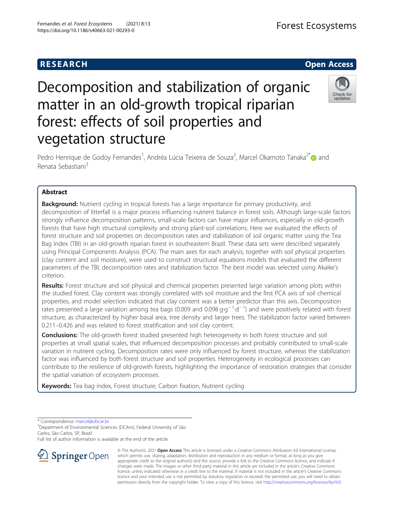# **RESEARCH CHE Open Access**

# Decomposition and stabilization of organic matter in an old-growth tropical riparian forest: effects of soil properties and vegetation structure



Pedro Henrique de Godoy Fernandes<sup>1</sup>, Andréa Lúcia Teixeira de Souza<sup>2</sup>, Marcel Okamoto Tanaka<sup>2\*</sup>@ and Renata Sebastiani<sup>3</sup>

## Abstract

**Background:** Nutrient cycling in tropical forests has a large importance for primary productivity, and decomposition of litterfall is a major process influencing nutrient balance in forest soils. Although large-scale factors strongly influence decomposition patterns, small-scale factors can have major influences, especially in old-growth forests that have high structural complexity and strong plant-soil correlations. Here we evaluated the effects of forest structure and soil properties on decomposition rates and stabilization of soil organic matter using the Tea Bag Index (TBI) in an old-growth riparian forest in southeastern Brazil. These data sets were described separately using Principal Components Analysis (PCA). The main axes for each analysis, together with soil physical properties (clay content and soil moisture), were used to construct structural equations models that evaluated the different parameters of the TBI, decomposition rates and stabilization factor. The best model was selected using Akaike's criterion.

Results: Forest structure and soil physical and chemical properties presented large variation among plots within the studied forest. Clay content was strongly correlated with soil moisture and the first PCA axis of soil chemical properties, and model selection indicated that clay content was a better predictor than this axis. Decomposition .<br>rates presented a large variation among tea bags (0.009 and 0.098 g·g<sup>−1</sup>·d<sup>−1</sup>) and were positively related with forest structure, as characterized by higher basal area, tree density and larger trees. The stabilization factor varied between 0.211–0.426 and was related to forest stratification and soil clay content.

**Conclusions:** The old-growth forest studied presented high heterogeneity in both forest structure and soil properties at small spatial scales, that influenced decomposition processes and probably contributed to small-scale variation in nutrient cycling. Decomposition rates were only influenced by forest structure, whereas the stabilization factor was influenced by both forest structure and soil properties. Heterogeneity in ecological processes can contribute to the resilience of old-growth forests, highlighting the importance of restoration strategies that consider the spatial variation of ecosystem processes.

Keywords: Tea bag index, Forest structure, Carbon fixation, Nutrient cycling

\* Correspondence: [marcel@ufscar.br](mailto:marcel@ufscar.br) <sup>2</sup>

<sup>2</sup> Department of Environmental Sciences (DCAm), Federal University of São Carlos, São Carlos, SP, Brazil

Full list of author information is available at the end of the article



© The Author(s). 2021 Open Access This article is licensed under a Creative Commons Attribution 4.0 International License, which permits use, sharing, adaptation, distribution and reproduction in any medium or format, as long as you give appropriate credit to the original author(s) and the source, provide a link to the Creative Commons licence, and indicate if changes were made. The images or other third party material in this article are included in the article's Creative Commons licence, unless indicated otherwise in a credit line to the material. If material is not included in the article's Creative Commons licence and your intended use is not permitted by statutory regulation or exceeds the permitted use, you will need to obtain permission directly from the copyright holder. To view a copy of this licence, visit <http://creativecommons.org/licenses/by/4.0/>.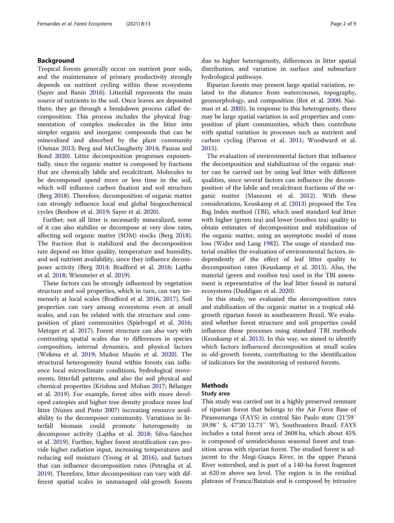#### Background

Tropical forests generally occur on nutrient poor soils, and the maintenance of primary productivity strongly depends on nutrient cycling within these ecosystems (Sayer and Banin [2016\)](#page-8-0). Litterfall represents the main source of nutrients to the soil. Once leaves are deposited there, they go through a breakdown process called decomposition. This process includes the physical fragmentation of complex molecules in the litter into simpler organic and inorganic compounds that can be mineralized and absorbed by the plant community (Osman [2013](#page-8-0); Berg and McClaugherty [2014](#page-7-0); Pausas and Bond [2020\)](#page-8-0). Litter decomposition progresses exponentially, since the organic matter is composed by fractions that are chemically labile and recalcitrant. Molecules to be decomposed spend more or less time in the soil, which will influence carbon fixation and soil structure (Berg [2018](#page-7-0)). Therefore, decomposition of organic matter can strongly influence local and global biogeochemical cycles (Benbow et al. [2019;](#page-7-0) Sayer et al. [2020\)](#page-8-0).

Further, not all litter is necessarily mineralized, some of it can also stabilize or decompose at very slow rates, affecting soil organic matter (SOM) stocks (Berg [2018](#page-7-0)). The fraction that is stabilized and the decomposition rate depend on litter quality, temperature and humidity, and soil nutrient availability, since they influence decomposer activity (Berg [2014](#page-7-0); Bradford et al. [2016](#page-7-0); Lajtha et al. [2018;](#page-8-0) Wiesmeier et al. [2019\)](#page-8-0).

These factors can be strongly influenced by vegetation structure and soil properties, which in turn, can vary immensely at local scales (Bradford et al. [2016,](#page-7-0) [2017](#page-7-0)). Soil properties can vary among ecosystems even at small scales, and can be related with the structure and composition of plant communities (Spielvogel et al. [2016](#page-8-0); Metzger et al. [2017](#page-8-0)). Forest structure can also vary with contrasting spatial scales due to differences in species composition, internal dynamics, and physical factors (Wekesa et al. [2019;](#page-8-0) Muñoz Mazón et al. [2020\)](#page-8-0). The structural heterogeneity found within forests can influence local microclimate conditions, hydrological movements, litterfall patterns, and also the soil physical and chemical properties (Krishna and Mohan [2017;](#page-8-0) Bélanger et al. [2019](#page-7-0)). For example, forest sites with more developed canopies and higher tree density produce more leaf litter (Nunes and Pinto [2007\)](#page-8-0) increasing resource availability to the decomposer community. Variations in litterfall biomass could promote heterogeneity in decomposer activity (Lajtha et al. [2018](#page-8-0); Silva-Sánchez et al. [2019\)](#page-8-0). Further, higher forest stratification can provide higher radiation input, increasing temperatures and reducing soil moisture (Yeong et al. [2016](#page-8-0)), and factors that can influence decomposition rates (Petraglia et al. [2019](#page-8-0)). Therefore, litter decomposition can vary with different spatial scales in unmanaged old-growth forests due to higher heterogeneity, differences in litter spatial distribution, and variation in surface and subsurface hydrological pathways.

Riparian forests may present large spatial variation, related to the distance from watercourses, topography, geomorphology, and composition (Rot et al. [2000](#page-8-0); Naiman et al. [2005\)](#page-8-0). In response to this heterogeneity, there may be large spatial variation in soil properties and composition of plant communities, which then contribute with spatial variation in processes such as nutrient and carbon cycling (Parron et al. [2011](#page-8-0); Woodward et al. [2015](#page-8-0)).

The evaluation of environmental factors that influence the decomposition and stabilization of the organic matter can be carried out by using leaf litter with different qualities, since several factors can influence the decomposition of the labile and recalcitrant fractions of the organic matter (Manzoni et al. [2012](#page-8-0)). With these considerations, Keuskamp et al. ([2013](#page-7-0)) proposed the Tea Bag Index method (TBI), which used standard leaf litter with higher (green tea) and lower (rooibos tea) quality to obtain estimates of decomposition and stabilization of the organic matter, using an asymptotic model of mass loss (Wider and Lang [1982\)](#page-8-0). The usage of standard material enables the evaluation of environmental factors, independently of the effect of leaf litter quality to decomposition rates (Keuskamp et al. [2013](#page-7-0)). Also, the material (green and rooibos tea) used in the TBI assessment is representative of the leaf litter found in natural ecosystems (Duddigan et al. [2020](#page-7-0)).

In this study, we evaluated the decomposition rates and stabilization of the organic matter in a tropical oldgrowth riparian forest in southeastern Brazil. We evaluated whether forest structure and soil properties could influence these processes using standard TBI methods (Keuskamp et al. [2013\)](#page-7-0). In this way, we aimed to identify which factors influenced decomposition at small scales in old-growth forests, contributing to the identification of indicators for the monitoring of restored forests.

### **Methods**

#### Study area

This study was carried out in a highly preserved remnant of riparian forest that belongs to the Air Force Base of Pirassununga (FAYS) in central São Paulo state (21°59′ 39.98″ S, 47°20′12.73″ W), Southeastern Brazil. FAYS includes a total forest area of 2608 ha, which about 45% is composed of semideciduous seasonal forest and transition areas with riparian forest. The studied forest is adjacent to the Mogi-Guaçu River, in the upper Paraná River watershed, and is part of a 140-ha forest fragment at 620 m above sea level. The region is in the residual plateaus of Franca/Batatais and is composed by intrusive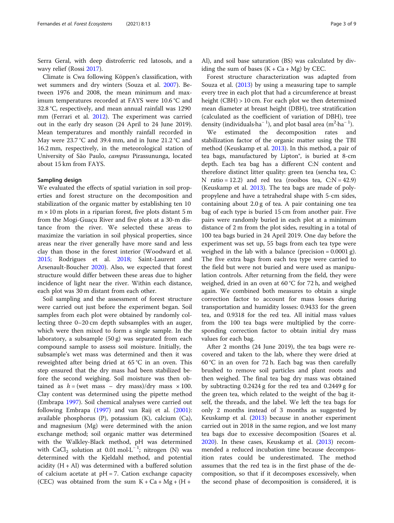Serra Geral, with deep distroferric red latosols, and a wavy relief (Rossi [2017](#page-8-0)).

Climate is Cwa following Köppen's classification, with wet summers and dry winters (Souza et al. [2007\)](#page-8-0). Between 1976 and 2008, the mean minimum and maximum temperatures recorded at FAYS were 10.6 °C and 32.8 °C, respectively, and mean annual rainfall was 1290 mm (Ferrari et al. [2012\)](#page-7-0). The experiment was carried out in the early dry season (24 April to 24 June 2019). Mean temperatures and monthly rainfall recorded in May were 23.7 °C and 39.4 mm, and in June 21.2 °C and 16.2 mm, respectively, in the meteorological station of University of São Paulo, campus Pirassununga, located about 15 km from FAYS.

#### Sampling design

We evaluated the effects of spatial variation in soil properties and forest structure on the decomposition and stabilization of the organic matter by establishing ten 10  $m \times 10$  m plots in a riparian forest, five plots distant 5 m from the Mogi-Guaçu River and five plots at a 30-m distance from the river. We selected these areas to maximize the variation in soil physical properties, since areas near the river generally have more sand and less clay than those in the forest interior (Woodward et al. [2015](#page-8-0); Rodrigues et al. [2018;](#page-8-0) Saint-Laurent and Arsenault-Boucher [2020\)](#page-8-0). Also, we expected that forest structure would differ between these areas due to higher incidence of light near the river. Within each distance, each plot was 30 m distant from each other.

Soil sampling and the assessment of forest structure were carried out just before the experiment began. Soil samples from each plot were obtained by randomly collecting three 0–20 cm depth subsamples with an auger, which were then mixed to form a single sample. In the laboratory, a subsample (50 g) was separated from each compound sample to assess soil moisture. Initially, the subsample's wet mass was determined and then it was reweighted after being dried at 65 °C in an oven. This step ensured that the dry mass had been stabilized before the second weighing. Soil moisture was then obtained as  $h = (wet mass - dry mass)/dry mass \times 100$ . Clay content was determined using the pipette method (Embrapa [1997](#page-7-0)). Soil chemical analyses were carried out following Embrapa [\(1997\)](#page-7-0) and van Raij et al. ([2001](#page-8-0)): available phosphorus (P), potassium (K), calcium (Ca), and magnesium (Mg) were determined with the anion exchange method; soil organic matter was determined with the Walkley-Black method, pH was determined with  $CaCl<sub>2</sub>$  solution at 0.01 mol·L<sup>-1</sup>; nitrogen (N) was determined with the Kjeldahl method, and potential acidity  $(H + Al)$  was determined with a buffered solution of calcium acetate at  $pH = 7$ . Cation exchange capacity (CEC) was obtained from the sum  $K + Ca + Mg + (H +$ 

Al), and soil base saturation (BS) was calculated by dividing the sum of bases  $(K + Ca + Mg)$  by CEC.

Forest structure characterization was adapted from Souza et al. [\(2013\)](#page-8-0) by using a measuring tape to sample every tree in each plot that had a circumference at breast height (CBH) > 10 cm. For each plot we then determined mean diameter at breast height (DBH), tree stratification (calculated as the coefficient of variation of DBH), tree density (individuals·ha<sup>-1</sup>), and plot basal area (m<sup>2</sup>·ha<sup>-1</sup>).

We estimated the decomposition rates and stabilization factor of the organic matter using the TBI method (Keuskamp et al. [2013](#page-7-0)). In this method, a pair of tea bags, manufactured by Lipton®, is buried at 8-cm depth. Each tea bag has a different C:N content and therefore distinct litter quality: green tea (sencha tea, C: N ratio = 12.2) and red tea (rooibos tea,  $C:N = 42.9$ ) (Keuskamp et al. [2013\)](#page-7-0). The tea bags are made of polypropylene and have a tetrahedral shape with 5-cm sides, containing about 2.0 g of tea. A pair containing one tea bag of each type is buried 15 cm from another pair. Five pairs were randomly buried in each plot at a minimum distance of 2 m from the plot sides, resulting in a total of 100 tea bags buried in 24 April 2019. One day before the experiment was set up, 55 bags from each tea type were weighed in the lab with a balance (precision  $= 0.0001$  g). The five extra bags from each tea type were carried to the field but were not buried and were used as manipulation controls. After returning from the field, they were weighed, dried in an oven at 60 °C for 72 h, and weighed again. We combined both measures to obtain a single correction factor to account for mass losses during transportation and humidity losses: 0.9433 for the green tea, and 0.9318 for the red tea. All initial mass values from the 100 tea bags were multiplied by the corresponding correction factor to obtain initial dry mass values for each bag.

After 2 months (24 June 2019), the tea bags were recovered and taken to the lab, where they were dried at 60 °C in an oven for 72 h. Each bag was then carefully brushed to remove soil particles and plant roots and then weighed. The final tea bag dry mass was obtained by subtracting 0.2424 g for the red tea and 0.2449 g for the green tea, which related to the weight of the bag itself, the threads, and the label. We left the tea bags for only 2 months instead of 3 months as suggested by Keuskamp et al. ([2013](#page-7-0)) because in another experiment carried out in 2018 in the same region, and we lost many tea bags due to excessive decomposition (Soares et al. [2020](#page-8-0)). In these cases, Keuskamp et al. [\(2013\)](#page-7-0) recommended a reduced incubation time because decomposition rates could be underestimated. The method assumes that the red tea is in the first phase of the decomposition, so that if it decomposes excessively, when the second phase of decomposition is considered, it is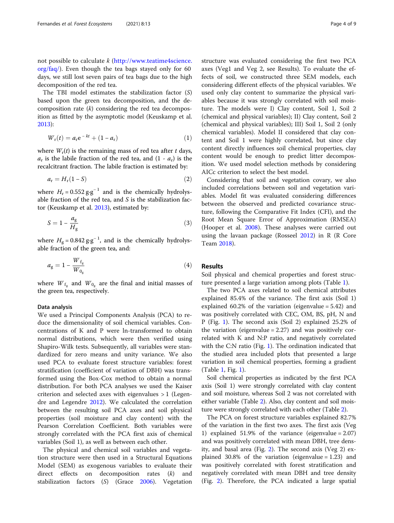not possible to calculate  $k$  [\(http://www.teatime4science.](http://www.teatime4science.org/faq/) [org/faq/\)](http://www.teatime4science.org/faq/). Even though the tea bags stayed only for 60 days, we still lost seven pairs of tea bags due to the high decomposition of the red tea.

The TBI model estimates the stabilization factor (S) based upon the green tea decomposition, and the decomposition rate  $(k)$  considering the red tea decomposition as fitted by the asymptotic model (Keuskamp et al. [2013](#page-7-0)):

$$
W_{\rm r}(t) = a_{\rm r} e^{-kt} + (1 - a_{\rm r}) \tag{1}
$$

where  $W_r(t)$  is the remaining mass of red tea after t days,  $a_r$  is the labile fraction of the red tea, and  $(1 - a_r)$  is the recalcitrant fraction. The labile fraction is estimated by:

$$
a_{\rm r} = H_{\rm r}(1 - S) \tag{2}
$$

where  $H_r = 0.552 \text{ g} \cdot \text{g}^{-1}$  and is the chemically hydrolysable fraction of the red tea, and  $S$  is the stabilization factor (Keuskamp et al. [2013\)](#page-7-0), estimated by:

$$
S = 1 - \frac{a_g}{H_g} \tag{3}
$$

where  $H_{\rm g}$  = 0.842  ${\rm g}\cdot {\rm g}^{-1}$ , and is the chemically hydrolysable fraction of the green tea, and:

$$
a_{\rm g} = 1 - \frac{W_{\rm f_{\rm g}}}{W_{\rm 0_{\rm g}}} \tag{4}
$$

where  $W_{f_g}$  and  $W_{0_g}$  are the final and initial masses of the green tea, respectively.

#### Data analysis

We used a Principal Components Analysis (PCA) to reduce the dimensionality of soil chemical variables. Concentrations of K and P were ln-transformed to obtain normal distributions, which were then verified using Shapiro-Wilk tests. Subsequently, all variables were standardized for zero means and unity variance. We also used PCA to evaluate forest structure variables: forest stratification (coefficient of variation of DBH) was transformed using the Box-Cox method to obtain a normal distribution. For both PCA analyses we used the Kaiser criterion and selected axes with eigenvalues > 1 (Legendre and Legendre [2012](#page-8-0)). We calculated the correlation between the resulting soil PCA axes and soil physical properties (soil moisture and clay content) with the Pearson Correlation Coefficient. Both variables were strongly correlated with the PCA first axis of chemical variables (Soil 1), as well as between each other.

The physical and chemical soil variables and vegetation structure were then used in a Structural Equations Model (SEM) as exogenous variables to evaluate their direct effects on decomposition rates (k) and stabilization factors (S) (Grace [2006](#page-7-0)). Vegetation

structure was evaluated considering the first two PCA axes (Veg1 and Veg 2, see Results). To evaluate the effects of soil, we constructed three SEM models, each considering different effects of the physical variables. We used only clay content to summarize the physical variables because it was strongly correlated with soil moisture. The models were I) Clay content, Soil 1, Soil 2 (chemical and physical variables); II) Clay content, Soil 2 (chemical and physical variables); III) Soil 1, Soil 2 (only chemical variables). Model II considered that clay content and Soil 1 were highly correlated, but since clay content directly influences soil chemical properties, clay content would be enough to predict litter decomposition. We used model selection methods by considering AICc criterion to select the best model.

Considering that soil and vegetation covary, we also included correlations between soil and vegetation variables. Model fit was evaluated considering differences between the observed and predicted covariance structure, following the Comparative Fit Index (CFI), and the Root Mean Square Error of Approximation (RMSEA) (Hooper et al. [2008\)](#page-7-0). These analyses were carried out using the lavaan package (Rosseel [2012\)](#page-8-0) in R (R Core Team [2018\)](#page-8-0).

#### Results

Soil physical and chemical properties and forest structure presented a large variation among plots (Table [1](#page-4-0)).

The two PCA axes related to soil chemical attributes explained 85.4% of the variance. The first axis (Soil 1) explained 60.2% of the variation (eigenvalue = 5.42) and was positively correlated with CEC, OM, BS, pH, N and P (Fig. [1](#page-4-0)). The second axis (Soil 2) explained 25.2% of the variation (eigenvalue  $= 2.27$ ) and was positively correlated with K and N:P ratio, and negatively correlated with the C:N ratio (Fig. [1\)](#page-4-0). The ordination indicated that the studied area included plots that presented a large variation in soil chemical properties, forming a gradient (Table [1,](#page-4-0) Fig. [1](#page-4-0)).

Soil chemical properties as indicated by the first PCA axis (Soil 1) were strongly correlated with clay content and soil moisture, whereas Soil 2 was not correlated with either variable (Table [2](#page-4-0)). Also, clay content and soil moisture were strongly correlated with each other (Table [2\)](#page-4-0).

The PCA on forest structure variables explained 82.7% of the variation in the first two axes. The first axis (Veg 1) explained 51.9% of the variance (eigenvalue  $= 2.07$ ) and was positively correlated with mean DBH, tree density, and basal area (Fig. [2\)](#page-5-0). The second axis (Veg 2) explained 30.8% of the variation (eigenvalue = 1.23) and was positively correlated with forest stratification and negatively correlated with mean DBH and tree density (Fig. [2\)](#page-5-0). Therefore, the PCA indicated a large spatial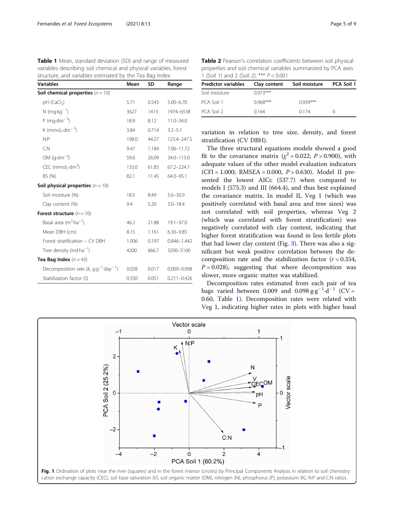<span id="page-4-0"></span>

| Table 1 Mean, standard deviation (SD) and range of measured       |
|-------------------------------------------------------------------|
| variables describing soil chemical and physical variables, forest |
| structure, and variables estimated by the Tea Bag Index           |

| <b>Variables</b>                                        | Mean  | SD    | Range           |
|---------------------------------------------------------|-------|-------|-----------------|
| Soil chemical properties $(n = 10)$                     |       |       |                 |
| $pH$ (CaCl <sub>2</sub> )                               | 5.71  | 0.543 | $5.00 - 6.70$   |
| $N$ (mg·kg <sup>-1</sup> )                              | 3627  | 1413  | 1974-6538       |
| P (mg $dm^{-3}$ )                                       | 18.9  | 8.12  | $11.0 - 34.0$   |
| K (mmol <sub>c</sub> -dm <sup>-3</sup> )                | 3.84  | 0.714 | $3.2 - 5.1$     |
| N: P                                                    | 198.0 | 44.27 | 123.4-247.5     |
| C: N                                                    | 9.47  | 1.184 | 7.06-11.72      |
| OM $(q \cdot dm^{-3})$                                  | 59.6  | 26.09 | 34.0-113.0      |
| $CEC$ (mmol <sub>c</sub> -dm <sup>3</sup> )             | 133.0 | 61.83 | $67.2 - 224.7$  |
| BS (%)                                                  | 82.1  | 11.45 | $64.0 - 95.1$   |
| <b>Soil physical properties</b> $(n = 10)$              |       |       |                 |
| Soil moisture (%)                                       | 18.5  | 8.49  | $5.6 - 30.9$    |
| Clay content (%)                                        | 9.4   | 5.20  | $3.0 - 18.4$    |
| <b>Forest structure</b> $(n = 10)$                      |       |       |                 |
| Basal area $(m^2 \cdot ha^{-1})$                        | 46.2  | 21.88 | $19.1 - 97.0$   |
| Mean DBH (cm)                                           | 8.15  | 1.161 | $6.30 - 9.85$   |
| Forest stratification - CV DBH                          | 1.006 | 0.197 | $0.846 - 1.442$ |
| Tree density (ind ha <sup>-1</sup> )                    | 4200  | 666.7 | 3200-5100       |
| Tea Bag Index $(n = 43)$                                |       |       |                 |
| Decomposition rate $(k, q \cdot q^{-1} \cdot day^{-1})$ | 0.028 | 0.017 | $0.009 - 0.098$ |
| Stabilization factor (S)                                | 0.350 | 0.051 | $0.211 - 0.426$ |

Table 2 Pearson's correlation coefficients between soil physical properties and soil chemical variables summarized by PCA axes 1 (Soil 1) and 2 (Soil 2). \*\*\* P < 0.001

| <b>Predictor variables</b> | Clay content | Soil moisture | <b>PCA Soil 1</b> |
|----------------------------|--------------|---------------|-------------------|
| Soil moisture              | $0.973***$   |               |                   |
| PCA Soil 1                 | $0.968***$   | $0.939***$    |                   |
| PCA Soil 2                 | 0164         | 0174          |                   |

variation in relation to tree size, density, and forest stratification (CV DBH).

The three structural equations models showed a good fit to the covariance matrix ( $\chi^2$  = 0.022; P > 0.900), with adequate values of the other model evaluation indicators (CFI = 1.000; RMSEA = 0.000,  $P > 0.630$ ). Model II presented the lowest AICc (537.7) when compared to models I (575.3) and III (664.4), and thus best explained the covariance matrix. In model II, Veg 1 (which was positively correlated with basal area and tree sizes) was not correlated with soil properties, whereas Veg 2 (which was correlated with forest stratification) was negatively correlated with clay content, indicating that higher forest stratification was found in less fertile plots that had lower clay content (Fig. [3\)](#page-5-0). There was also a significant but weak positive correlation between the decomposition rate and the stabilization factor  $(r = 0.354,$  $P = 0.028$ ), suggesting that where decomposition was slower, more organic matter was stabilized.

Decomposition rates estimated from each pair of tea bags varied between 0.009 and 0.098  $g \cdot g^{-1} \cdot d^{-1}$  (CV = 0.60, Table 1). Decomposition rates were related with Veg 1, indicating higher rates in plots with higher basal

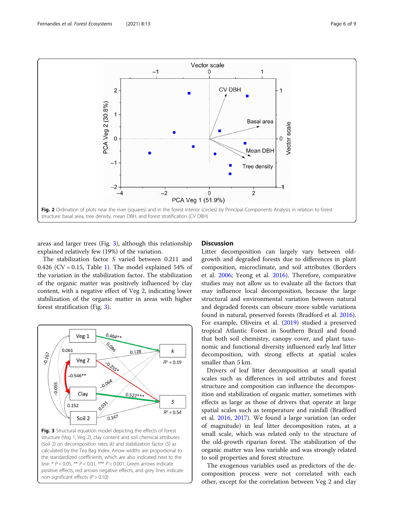<span id="page-5-0"></span>

areas and larger trees (Fig. 3), although this relationship explained relatively few (19%) of the variation.

The stabilization factor S varied between 0.211 and 0.426 (CV = 0.[1](#page-4-0)5, Table 1). The model explained 54% of the variation in the stabilization factor. The stabilization of the organic matter was positively influenced by clay content, with a negative effect of Veg 2, indicating lower stabilization of the organic matter in areas with higher forest stratification (Fig. 3).



Fig. 3 Structural equation model depicting the effects of forest structure (Veg 1, Veg 2), clay content and soil chemical attributes (Soil 2) on decomposition rates  $(k)$  and stabilization factor  $(S)$  as calculated by the Tea Bag Index. Arrow widths are proportional to the standardized coefficients, which are also indicated next to the line. \* P < 0.05, \*\* P < 0.01, \*\*\* P < 0.001. Green arrows indicate positive effects, red arrows negative effects, and grey lines indicate non-significant effects ( $P > 0.10$ )

#### **Discussion**

Litter decomposition can largely vary between oldgrowth and degraded forests due to differences in plant composition, microclimate, and soil attributes (Borders et al. [2006;](#page-7-0) Yeong et al. [2016\)](#page-8-0). Therefore, comparative studies may not allow us to evaluate all the factors that may influence local decomposition, because the large structural and environmental variation between natural and degraded forests can obscure more subtle variations found in natural, preserved forests (Bradford et al. [2016](#page-7-0)). For example, Oliveira et al. [\(2019\)](#page-8-0) studied a preserved tropical Atlantic Forest in Southern Brazil and found that both soil chemistry, canopy cover, and plant taxonomic and functional diversity influenced early leaf litter decomposition, with strong effects at spatial scales smaller than 5 km.

Drivers of leaf litter decomposition at small spatial scales such as differences in soil attributes and forest structure and composition can influence the decomposition and stabilization of organic matter, sometimes with effects as large as those of drivers that operate at large spatial scales such as temperature and rainfall (Bradford et al. [2016](#page-7-0), [2017\)](#page-7-0). We found a large variation (an order of magnitude) in leaf litter decomposition rates, at a small scale, which was related only to the structure of the old-growth riparian forest. The stabilization of the organic matter was less variable and was strongly related to soil properties and forest structure.

The exogenous variables used as predictors of the decomposition process were not correlated with each other, except for the correlation between Veg 2 and clay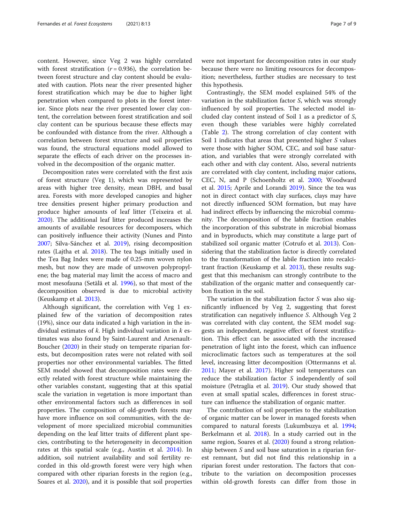content. However, since Veg 2 was highly correlated with forest stratification  $(r = 0.936)$ , the correlation between forest structure and clay content should be evaluated with caution. Plots near the river presented higher forest stratification which may be due to higher light penetration when compared to plots in the forest interior. Since plots near the river presented lower clay content, the correlation between forest stratification and soil clay content can be spurious because these effects may be confounded with distance from the river. Although a correlation between forest structure and soil properties was found, the structural equations model allowed to separate the effects of each driver on the processes involved in the decomposition of the organic matter.

Decomposition rates were correlated with the first axis of forest structure (Veg 1), which was represented by areas with higher tree density, mean DBH, and basal area. Forests with more developed canopies and higher tree densities present higher primary production and produce higher amounts of leaf litter (Teixeira et al. [2020](#page-8-0)). The additional leaf litter produced increases the amounts of available resources for decomposers, which can positively influence their activity (Nunes and Pinto [2007](#page-8-0); Silva-Sánchez et al. [2019\)](#page-8-0), rising decomposition rates (Lajtha et al. [2018](#page-8-0)). The tea bags initially used in the Tea Bag Index were made of 0.25-mm woven nylon mesh, but now they are made of unwoven polypropylene; the bag material may limit the access of macro and most mesofauna (Setälä et al. [1996\)](#page-8-0), so that most of the decomposition observed is due to microbial activity (Keuskamp et al. [2013\)](#page-7-0).

Although significant, the correlation with Veg 1 explained few of the variation of decomposition rates (19%), since our data indicated a high variation in the individual estimates of  $k$ . High individual variation in  $k$  estimates was also found by Saint-Laurent and Arsenault-Boucher [\(2020\)](#page-8-0) in their study on temperate riparian forests, but decomposition rates were not related with soil properties nor other environmental variables. The fitted SEM model showed that decomposition rates were directly related with forest structure while maintaining the other variables constant, suggesting that at this spatial scale the variation in vegetation is more important than other environmental factors such as differences in soil properties. The composition of old-growth forests may have more influence on soil communities, with the development of more specialized microbial communities depending on the leaf litter traits of different plant species, contributing to the heterogeneity in decomposition rates at this spatial scale (e.g., Austin et al. [2014\)](#page-7-0). In addition, soil nutrient availability and soil fertility recorded in this old-growth forest were very high when compared with other riparian forests in the region (e.g., Soares et al. [2020\)](#page-8-0), and it is possible that soil properties

were not important for decomposition rates in our study because there were no limiting resources for decomposition; nevertheless, further studies are necessary to test this hypothesis.

Contrastingly, the SEM model explained 54% of the variation in the stabilization factor S, which was strongly influenced by soil properties. The selected model included clay content instead of Soil 1 as a predictor of S, even though these variables were highly correlated (Table [2\)](#page-4-0). The strong correlation of clay content with Soil 1 indicates that areas that presented higher S values were those with higher SOM, CEC, and soil base saturation, and variables that were strongly correlated with each other and with clay content. Also, several nutrients are correlated with clay content, including major cations, CEC, N, and P (Schoenholtz et al. [2000](#page-8-0); Woodward et al. [2015](#page-8-0); Aprile and Lorandi [2019](#page-7-0)). Since the tea was not in direct contact with clay surfaces, clays may have not directly influenced SOM formation, but may have had indirect effects by influencing the microbial community. The decomposition of the labile fraction enables the incorporation of this substrate in microbial biomass and in byproducts, which may constitute a large part of stabilized soil organic matter (Cotrufo et al. [2013](#page-7-0)). Considering that the stabilization factor is directly correlated to the transformation of the labile fraction into recalcitrant fraction (Keuskamp et al. [2013\)](#page-7-0), these results suggest that this mechanism can strongly contribute to the stabilization of the organic matter and consequently carbon fixation in the soil.

The variation in the stabilization factor  $S$  was also significantly influenced by Veg 2, suggesting that forest stratification can negatively influence S. Although Veg 2 was correlated with clay content, the SEM model suggests an independent, negative effect of forest stratification. This effect can be associated with the increased penetration of light into the forest, which can influence microclimatic factors such as temperatures at the soil level, increasing litter decomposition (Ottermanns et al. [2011](#page-8-0); Mayer et al. [2017\)](#page-8-0). Higher soil temperatures can reduce the stabilization factor S independently of soil moisture (Petraglia et al. [2019\)](#page-8-0). Our study showed that even at small spatial scales, differences in forest structure can influence the stabilization of organic matter.

The contribution of soil properties to the stabilization of organic matter can be lower in managed forests when compared to natural forests (Lukumbuzya et al. [1994](#page-8-0); Berkelmann et al. [2018\)](#page-7-0). In a study carried out in the same region, Soares et al. ([2020](#page-8-0)) found a strong relationship between S and soil base saturation in a riparian forest remnant, but did not find this relationship in a riparian forest under restoration. The factors that contribute to the variation on decomposition processes within old-growth forests can differ from those in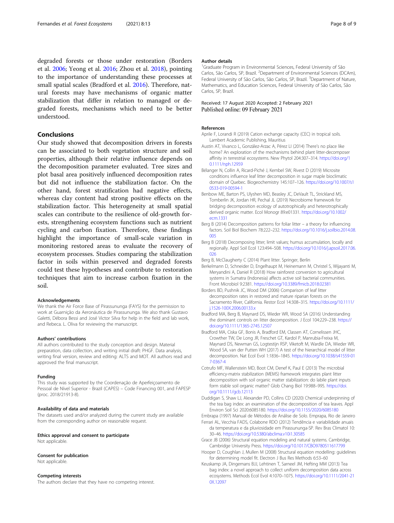<span id="page-7-0"></span>degraded forests or those under restoration (Borders et al. 2006; Yeong et al. [2016;](#page-8-0) Zhou et al. [2018](#page-8-0)), pointing to the importance of understanding these processes at small spatial scales (Bradford et al. 2016). Therefore, natural forests may have mechanisms of organic matter stabilization that differ in relation to managed or degraded forests, mechanisms which need to be better understood.

#### Conclusions

Our study showed that decomposition drivers in forests can be associated to both vegetation structure and soil properties, although their relative influence depends on the decomposition parameter evaluated. Tree sizes and plot basal area positively influenced decomposition rates but did not influence the stabilization factor. On the other hand, forest stratification had negative effects, whereas clay content had strong positive effects on the stabilization factor. This heterogeneity at small spatial scales can contribute to the resilience of old-growth forests, strengthening ecosystem functions such as nutrient cycling and carbon fixation. Therefore, these findings highlight the importance of small-scale variation in monitoring restored areas to evaluate the recovery of ecosystem processes. Studies comparing the stabilization factor in soils within preserved and degraded forests could test these hypotheses and contribute to restoration techniques that aim to increase carbon fixation in the soil.

#### Acknowledgements

We thank the Air Force Base of Pirassununga (FAYS) for the permission to work at Guarnição da Aeronáutica de Pirassununga. We also thank Gustavo Galetti, Débora Bessi and José Victor Silva for help in the field and lab work, and Rebeca. L. Oliva for reviewing the manuscript.

#### Authors' contributions

All authors contributed to the study conception and design. Material preparation, data collection, and writing initial draft: PHGF. Data analysis, writing final version, review and editing: ALTS and MOT. All authors read and approved the final manuscript.

#### Funding

This study was supported by the Coordenação de Aperfeiçoamento de Pessoal de Nível Superior - Brazil (CAPES) – Code Financing 001, and FAPESP (proc. 2018/21913-8).

#### Availability of data and materials

The datasets used and/or analyzed during the current study are available from the corresponding author on reasonable request.

#### Ethics approval and consent to participate

Not applicable.

#### Consent for publication

Not applicable.

#### Competing interests

The authors declare that they have no competing interest.

#### Author details

<sup>1</sup>Graduate Program in Environmental Sciences, Federal University of São Carlos, São Carlos, SP, Brazil. <sup>2</sup>Department of Environmental Sciences (DCAm), Federal University of São Carlos, São Carlos, SP, Brazil. <sup>3</sup>Department of Nature, Mathematics, and Education Sciences, Federal University of São Carlos, São Carlos, SP, Brazil.

#### Received: 17 August 2020 Accepted: 2 February 2021 Published online: 09 February 2021

#### References

- Aprile F, Lorandi R (2019) Cation exchange capacity (CEC) in tropical soils. Lambert Academic Publishing, Mauritius
- Austin AT, Vivanco L, González-Arzac A, Pérez LI (2014) There's no place like home? An exploration of the mechanisms behind plant litter-decomposer affinity in terrestrial ecosystems. New Phytol 204:307–314. [https://doi.org/1](https://doi.org/10.1111/nph.12959) [0.1111/nph.12959](https://doi.org/10.1111/nph.12959)
- Bélanger N, Collin A, Ricard-Piché J, Kembel SW, Rivest D (2019) Microsite conditions influence leaf litter decomposition in sugar maple bioclimatic domain of Quebec. Biogeochemistry 145:107–126. [https://doi.org/10.1007/s1](https://doi.org/10.1007/s10533-019-00594-1) [0533-019-00594-1](https://doi.org/10.1007/s10533-019-00594-1)
- Benbow ME, Barton PS, Ulyshen MD, Beasley JC, DeVault TL, Strickland MS, Tomberlin JK, Jordan HR, Pechal JL (2019) Necrobiome framework for bridging decomposition ecology of autotrophically and heterotrophically derived organic matter. Ecol Monogr 89:e01331. [https://doi.org/10.1002/](https://doi.org/10.1002/ecm.1331) [ecm.1331](https://doi.org/10.1002/ecm.1331)
- Berg B (2014) Decomposition patterns for foliar litter a theory for influencing factors. Soil Biol Biochem 78:222–232. [https://doi.org/10.1016/j.soilbio.2014.08.](https://doi.org/10.1016/j.soilbio.2014.08.005) [005](https://doi.org/10.1016/j.soilbio.2014.08.005)
- Berg B (2018) Decomposing litter; limit values; humus accumulation, locally and regionally. Appl Soil Ecol 123:494–508. [https://doi.org/10.1016/j.apsoil.2017.06.](https://doi.org/10.1016/j.apsoil.2017.06.026) [026](https://doi.org/10.1016/j.apsoil.2017.06.026)
- Berg B, McClaugherty C (2014) Plant litter. Springer, Berlin
- Berkelmann D, Schneider D, Engelhaupt M, Heinemann M, Christel S, Wijayanti M, Meryandini A, Daniel R (2018) How rainforest conversion to agricultural systems in Sumatra (Indonesia) affects active soil bacterial communities. Front Microbiol 9:2381. <https://doi.org/10.3389/fmicb.2018.02381>

Borders BD, Pushnik JC, Wood DM (2006) Comparison of leaf litter decomposition rates in restored and mature riparian forests on the Sacramento River, California. Restor Ecol 14:308–315. [https://doi.org/10.1111/](https://doi.org/10.1111/j.1526-100X.2006.00133.x) [j.1526-100X.2006.00133.x](https://doi.org/10.1111/j.1526-100X.2006.00133.x)

- Bradford MA, Berg B, Maynard DS, Wieder WR, Wood SA (2016) Understanding the dominant controls on litter decomposition. J Ecol 104:229–238. [https://](https://doi.org/10.1111/1365-2745.12507) [doi.org/10.1111/1365-2745.12507](https://doi.org/10.1111/1365-2745.12507)
- Bradford MA, Ciska GF, Bonis A, Bradford EM, Classen AT, Cornelissen JHC, Crowther TW, De Long JR, Freschet GT, Kardol P, Manrubia-Freixa M, Maynard DS, Newman GS, Logtestijn RSP, Viketoft M, Wardle DA, Wieder WR, Wood SA, van der Putten WH (2017) A test of the hierarchical model of litter decomposition. Nat Ecol Evol 1:1836–1845. [https://doi.org/10.1038/s41559-01](https://doi.org/10.1038/s41559-017-0367-4) [7-0367-4](https://doi.org/10.1038/s41559-017-0367-4)
- Cotrufo MF, Wallenstein MD, Boot CM, Denef K, Paul E (2013) The microbial efficiency-matrix stabilization (MEMS) framework integrates plant litter decomposition with soil organic matter stabilization: do labile plant inputs form stable soil organic matter? Glob Chang Biol 19:988–995. [https://doi.](https://doi.org/10.1111/gcb.12113) [org/10.1111/gcb.12113](https://doi.org/10.1111/gcb.12113)
- Duddigan S, Shaw LJ, Alexander PD, Collins CD (2020) Chemical underpinning of the tea bag index: an examination of the decomposition of tea leaves. Appl Environ Soil Sci 2020:6085180. <https://doi.org/10.1155/2020/6085180>
- Embrapa (1997) Manual de Métodos de Análise de Solo. Emprapa, Rio de Janeiro Ferrari AL, Vecchia FADS, Colabone RDO (2012) Tendência e variabilidade anuais
- da temperatura e da pluviosidade em Pirassununga-SP. Rev Bras Climatol 10: 30–46. <https://doi.org/10.5380/abclima.v10i1.30585>
- Grace JB (2006) Structural equation modeling and natural systems. Cambridge, Cambridge University Press. <https://doi.org/10.1017/CBO9780511617799>
- Hooper D, Coughlan J, Mullen M (2008) Structural equation modelling: guidelines for determining model fit. Electron J Bus Res Methods 6:53–60
- Keuskamp JA, Dingemans BJJ, Lehtinen T, Sarneel JM, Hefting MM (2013) Tea bag index: a novel approach to collect uniform decomposition data across ecosystems. Methods Ecol Evol 4:1070–1075. [https://doi.org/10.1111/2041-21](https://doi.org/10.1111/2041-210X.12097) [0X.12097](https://doi.org/10.1111/2041-210X.12097)